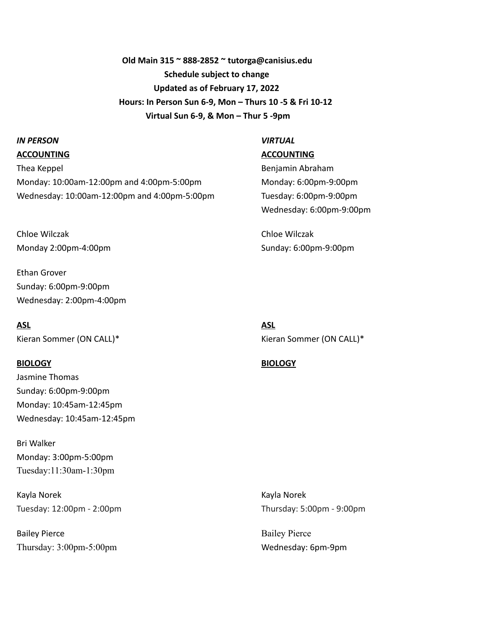**Old Main 315 ~ 888-2852 ~ tutorga@canisius.edu Schedule subject to change Updated as of February 17, 2022 Hours: In Person Sun 6-9, Mon – Thurs 10 -5 & Fri 10-12 Virtual Sun 6-9, & Mon – Thur 5 -9pm**

## *IN PERSON VIRTUAL*

Thea Keppel **Benjamin Abraham** Benjamin Abraham Monday: 10:00am-12:00pm and 4:00pm-5:00pm Monday: 6:00pm-9:00pm Wednesday: 10:00am-12:00pm and 4:00pm-5:00pm Tuesday: 6:00pm-9:00pm

Chloe Wilczak Chloe Wilczak Monday 2:00pm-4:00pm Sunday: 6:00pm-9:00pm

Ethan Grover Sunday: 6:00pm-9:00pm Wednesday: 2:00pm-4:00pm

**ASL ASL**

Jasmine Thomas Sunday: 6:00pm-9:00pm Monday: 10:45am-12:45pm Wednesday: 10:45am-12:45pm

Bri Walker Monday: 3:00pm-5:00pm Tuesday:11:30am-1:30pm

Kayla Norek Kayla Norek Tuesday: 12:00pm - 2:00pm Tuesday: 5:00pm - 9:00pm

Bailey Pierce Bailey Pierce Thursday: 3:00pm-5:00pm Wednesday: 6pm-9pm

**ACCOUNTING ACCOUNTING**

Wednesday: 6:00pm-9:00pm

Kieran Sommer (ON CALL)\* Kieran Sommer (ON CALL)\*

### **BIOLOGY BIOLOGY**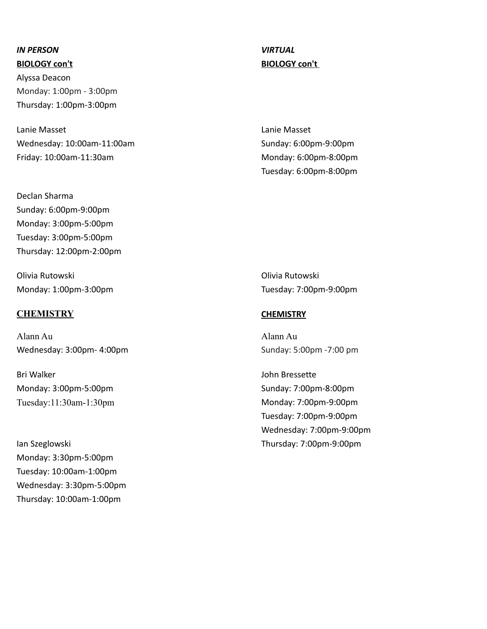Alyssa Deacon Monday: 1:00pm - 3:00pm Thursday: 1:00pm-3:00pm

Lanie Masset Lanie Masset Wednesday: 10:00am-11:00am Sunday: 6:00pm-9:00pm Friday: 10:00am-11:30am Monday: 6:00pm-8:00pm

Declan Sharma Sunday: 6:00pm-9:00pm Monday: 3:00pm-5:00pm Tuesday: 3:00pm-5:00pm Thursday: 12:00pm-2:00pm

Olivia Rutowski Olivia Rutowski Monday: 1:00pm-3:00pm Tuesday: 7:00pm-9:00pm

### **CHEMISTRY CHEMISTRY**

Alann Au Alann Au Wednesday: 3:00pm- 4:00pm Sunday: 5:00pm -7:00 pm

Bri Walker John Bressette Monday: 3:00pm-5:00pm Sunday: 7:00pm-8:00pm Tuesday:11:30am-1:30pm Monday: 7:00pm-9:00pm

Monday: 3:30pm-5:00pm Tuesday: 10:00am-1:00pm Wednesday: 3:30pm-5:00pm Thursday: 10:00am-1:00pm

**BIOLOGY con't BIOLOGY con't** 

Tuesday: 6:00pm-8:00pm

Tuesday: 7:00pm-9:00pm Wednesday: 7:00pm-9:00pm Ian Szeglowski Thursday: 7:00pm-9:00pm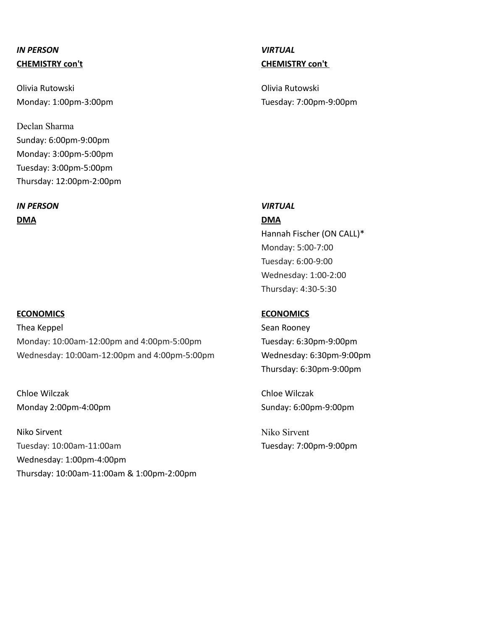Olivia Rutowski Olivia Rutowski

Declan Sharma Sunday: 6:00pm-9:00pm Monday: 3:00pm-5:00pm Tuesday: 3:00pm-5:00pm Thursday: 12:00pm-2:00pm

*IN PERSON VIRTUAL* **DMA DMA**

Thea Keppel **Sean Rooney** Sean Rooney Monday: 10:00am-12:00pm and 4:00pm-5:00pm Tuesday: 6:30pm-9:00pm Wednesday: 10:00am-12:00pm and 4:00pm-5:00pm Wednesday: 6:30pm-9:00pm

Chloe Wilczak Chloe Wilczak Monday 2:00pm-4:00pm Sunday: 6:00pm-9:00pm

Niko Sirvent Niko Sirvent Tuesday: 10:00am-11:00am Tuesday: 7:00pm-9:00pm Wednesday: 1:00pm-4:00pm Thursday: 10:00am-11:00am & 1:00pm-2:00pm

## **CHEMISTRY con't CHEMISTRY con't**

Monday: 1:00pm-3:00pm Tuesday: 7:00pm-9:00pm

Hannah Fischer (ON CALL)\* Monday: 5:00-7:00 Tuesday: 6:00-9:00 Wednesday: 1:00-2:00

Thursday: 4:30-5:30

### **ECONOMICS ECONOMICS**

Thursday: 6:30pm-9:00pm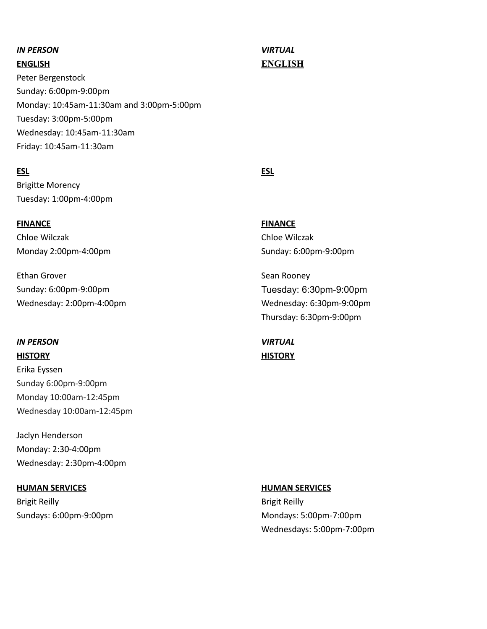Peter Bergenstock Sunday: 6:00pm-9:00pm Monday: 10:45am-11:30am and 3:00pm-5:00pm Tuesday: 3:00pm-5:00pm Wednesday: 10:45am-11:30am Friday: 10:45am-11:30am

### **ESL ESL**

Brigitte Morency Tuesday: 1:00pm-4:00pm

**FINANCE FINANCE** Chloe Wilczak Chloe Wilczak Monday 2:00pm-4:00pm Sunday: 6:00pm-9:00pm

Ethan Grover **Sean Rooney** Sean Rooney Sunday: 6:00pm-9:00pm Tuesday: 6:30pm-9:00pm

### *IN PERSON VIRTUAL*

Erika Eyssen Sunday 6:00pm-9:00pm Monday 10:00am-12:45pm Wednesday 10:00am-12:45pm

Jaclyn Henderson Monday: 2:30-4:00pm Wednesday: 2:30pm-4:00pm

### **HUMAN SERVICES HUMAN SERVICES**

Brigit Reilly **Brigit Reilly** 

# **ENGLISH ENGLISH**

Wednesday: 2:00pm-4:00pm Thursday: 6:30pm-9:00pm

**HISTORY HISTORY**

Sundays: 6:00pm-9:00pm Mondays: 5:00pm-7:00pm Wednesdays: 5:00pm-7:00pm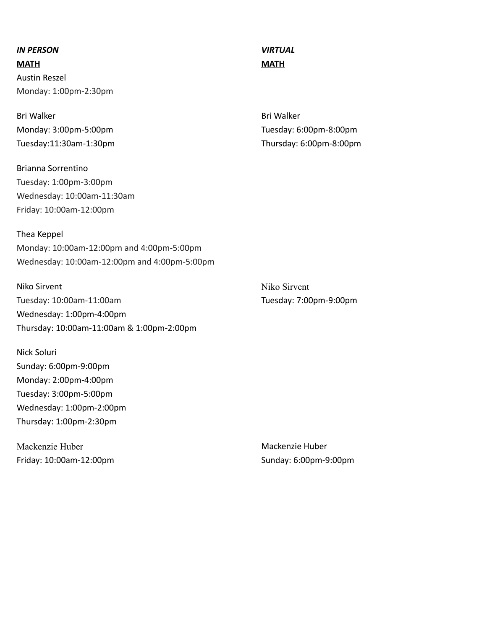**MATH MATH** Austin Reszel Monday: 1:00pm-2:30pm

Bri Walker **Bri Walker** Bri Walker Bri Walker Bri Walker

Brianna Sorrentino Tuesday: 1:00pm-3:00pm Wednesday: 10:00am-11:30am Friday: 10:00am-12:00pm

### Thea Keppel

Monday: 10:00am-12:00pm and 4:00pm-5:00pm Wednesday: 10:00am-12:00pm and 4:00pm-5:00pm

Niko Sirvent Niko Sirvent Tuesday: 10:00am-11:00am Tuesday: 7:00pm-9:00pm Wednesday: 1:00pm-4:00pm Thursday: 10:00am-11:00am & 1:00pm-2:00pm

Nick Soluri Sunday: 6:00pm-9:00pm Monday: 2:00pm-4:00pm Tuesday: 3:00pm-5:00pm Wednesday: 1:00pm-2:00pm Thursday: 1:00pm-2:30pm

Mackenzie Huber Mackenzie Huber Friday: 10:00am-12:00pm Sunday: 6:00pm-9:00pm

Monday: 3:00pm-5:00pm Tuesday: 6:00pm-8:00pm Tuesday:11:30am-1:30pm Thursday: 6:00pm-8:00pm